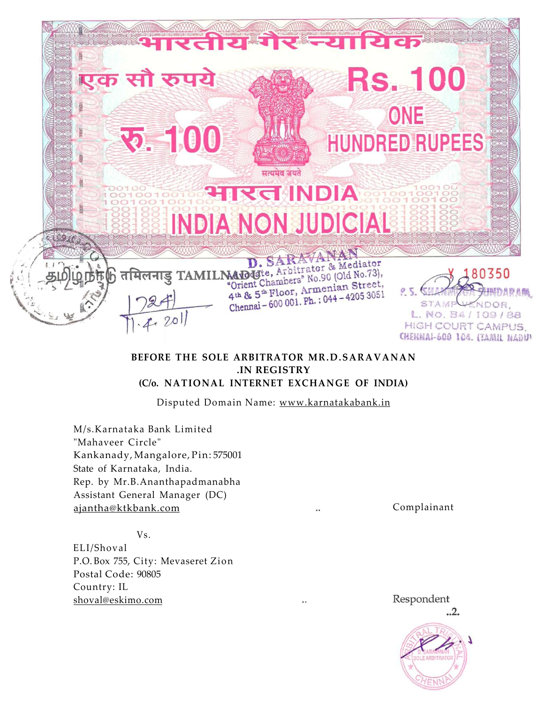

# **BEFORE THE SOLE ARBITRATOR MR.D.SARAVANAN .IN REGISTRY (C/o. NATIONAL INTERNET EXCHANGE OF INDIA)**

Disputed Domain Name: [www.karnatakabank.in](http://www.karnatakabank.in)

M/s.Karnataka Bank Limited "Mahaveer Circle" Kankanady, Mangalore, Pin: 575001 State of Karnataka, India. Rep. by Mr.B.Ananthapadmanabha Assistant General Manager (DC) [ajantha@ktkbank.com](mailto:ajantha@ktkbank.com) Complainant

Vs.

ELI/Shoval P.O. Box 755, City: Mevaseret Zion Postal Code: 90805 Country: IL [shoval@eskimo.com](mailto:shoval@eskimo.com) 

Respondent ..2.

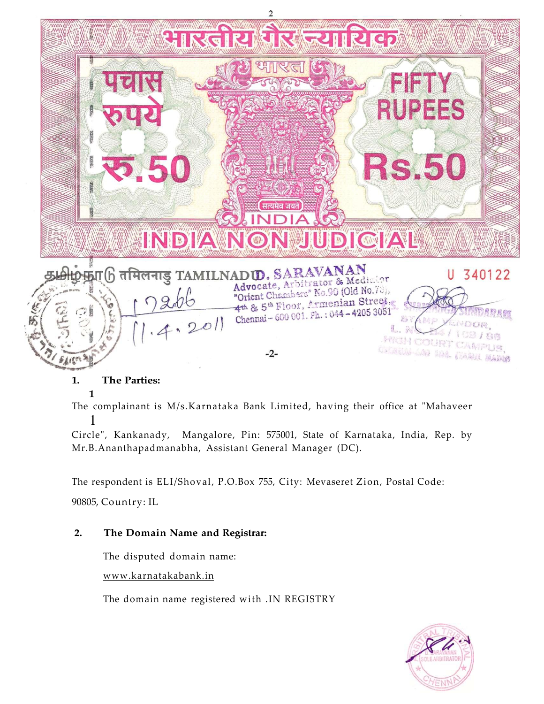

# **1. The Parties:**

# **1**

The complainant is M/s.Karnataka Bank Limited, having their office at "Mahaveer 1

Circle", Kankanady, Mangalore, Pin: 575001, State of Karnataka, India, Rep. by Mr.B.Ananthapadmanabha, Assistant General Manager (DC).

The respondent is ELI/Shoval, P.O.Box 755, City: Mevaseret Zion, Postal Code:

90805, Country: IL

# **2. The Domain Name and Registrar:**

The disputed domain name:

[www.karnatakabank.in](http://www.karnatakabank.in) 

The domain name registered with .IN REGISTRY

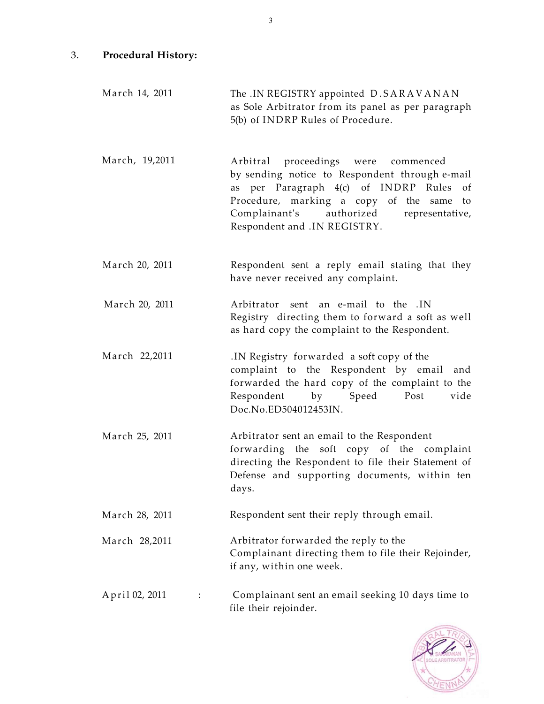- 3. **Procedural History:** 
	- March 14, 2011 The .IN REGISTRY appointed D.SARAVANAN as Sole Arbitrator from its panel as per paragraph 5(b) of INDRP Rules of Procedure.
	- March, 19,2011 Arbitral proceedings were commenced by sending notice to Respondent through e-mail as per Paragraph 4(c) of INDRP Rules of Procedure, marking a copy of the same to Complainant's authorized representative, Respondent and .IN REGISTRY.
	- March 20, 2011 Respondent sent a reply email stating that they have never received any complaint.
	- March 20, 2011 Arbitrator sent an e-mail to the .IN Registry directing them to forward a soft as well as hard copy the complaint to the Respondent.
	- March 22,2011 .IN Registry forwarded a soft copy of the complaint to the Respondent by email and forwarded the hard copy of the complaint to the Respondent by Speed Post vide Doc.No.ED504012453IN.
	- March 25, 2011 Arbitrator sent an email to the Respondent forwarding the soft copy of the complaint directing the Respondent to file their Statement of Defense and supporting documents, within ten days.
	- March 28, 2011 Respondent sent their reply through email.
	- March 28,2011 Arbitrator forwarded the reply to the Complainant directing them to file their Rejoinder, if any, within one week.
	- April 02, 2011 : Complainant sent an email seeking 10 days time to file their rejoinder.

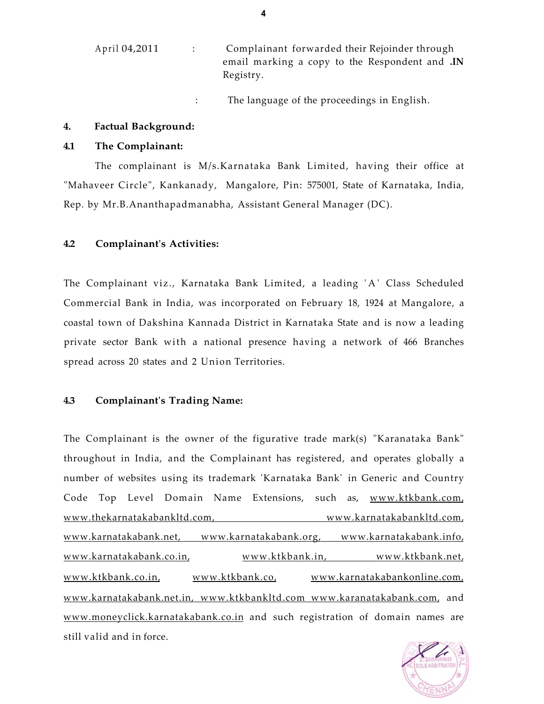| April 04,2011 | Complainant forwarded their Rejoinder through                      |
|---------------|--------------------------------------------------------------------|
|               | email marking a copy to the Respondent and <b>.IN</b><br>Registry. |

: The language of the proceedings in English.

## **4. Factual Background:**

## **4.1 The Complainant:**

The complainant is M/s.Karnataka Bank Limited, having their office at "Mahaveer Circle", Kankanady, Mangalore, Pin: 575001, State of Karnataka, India, Rep. by Mr.B.Ananthapadmanabha, Assistant General Manager (DC).

# **4.2 Complainant's Activities:**

The Complainant viz., Karnataka Bank Limited, a leading 'A' Class Scheduled Commercial Bank in India, was incorporated on February 18, 1924 at Mangalore, a coastal town of Dakshina Kannada District in Karnataka State and is now a leading private sector Bank with a national presence having a network of 466 Branches spread across 20 states and 2 Union Territories.

# **4.3 Complainant's Trading Name:**

The Complainant is the owner of the figurative trade mark(s) "Karanataka Bank" throughout in India, and the Complainant has registered, and operates globally a number of websites using its trademark 'Karnataka Bank' in Generic and Country Code Top Level Domain Name Extensions, such as, [www.ktkbank.com,](http://www.ktkbank.com) www.thekarnatakabankltd.com, [www.karnatakabankltd.com,](http://www.karnatakabankltd.com) [www.karnatakabank.net,](http://www.karnatakabank.net) [www.karnatakabank.](http://www.karnatakabank)org, [www.karnatakabank.info,](http://www.karnatakabank.info) [www.karnatakabank.co.in,](http://www.karnatakabank.co.in) [www.ktkbank.in,](http://www.ktkbank.in) [www.ktkbank.net,](http://www.ktkbank.net) [www.ktkbank.co.in,](http://www.ktkbank.co.in) [www.ktkbank.co,](http://www.ktkbank.co) [www.karnatakabankonline.](http://www.karnatakabankonline)com, [www.karnatakabank.net.in,](http://www.karnatakabank.net.in) [www.ktkbankltd.com](http://www.ktkbankltd.com) [www.karanatakabank.com,](http://www.karanatakabank.com) and [www.moneyclick.karnatakabank.co.in](http://www.moneyclick.karnatakabank.co.in) and such registration of domain names are still valid and in force.

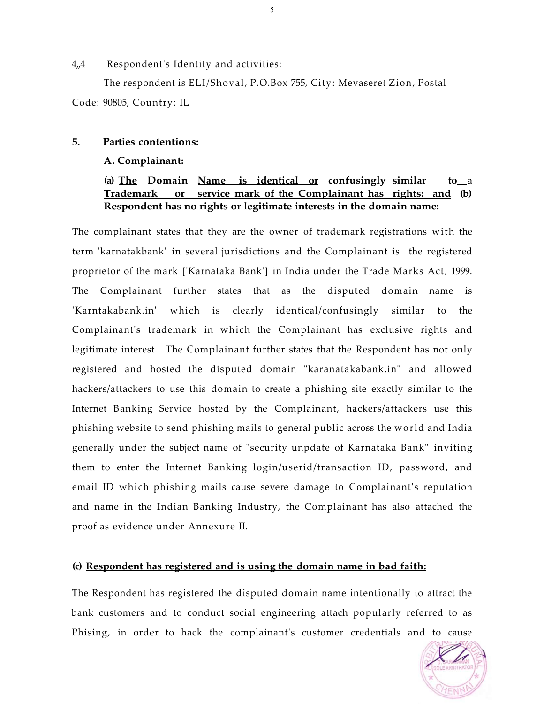## $4.4$  Respondent's Identity and activities:

The respondent is ELI/Shoval, P.O.Box 755, City: Mevaseret Zion, Postal Code: 90805, Country: IL

## **5. Parties contentions:**

#### **A. Complainant:**

# **(a) The Domain Name is identical or confusingly similar to** a **Trademark or service mark of the Complainant has rights: and (b) Respondent has no rights or legitimate interests in the domain name:**

The complainant states that they are the owner of trademark registrations with the term 'karnatakbank' in several jurisdictions and the Complainant is the registered proprietor of the mark ['Karnataka Bank'] in India under the Trade Marks Act, 1999. The Complainant further states that as the disputed domain name is 'Karntakabank.in' which is clearly identical/confusingly similar to the Complainant's trademark in which the Complainant has exclusive rights and legitimate interest. The Complainant further states that the Respondent has not only registered and hosted the disputed domain "karanatakabank.in" and allowed hackers/attackers to use this domain to create a phishing site exactly similar to the Internet Banking Service hosted by the Complainant, hackers/attackers use this phishing website to send phishing mails to general public across the world and India generally under the subject name of "security unpdate of Karnataka Bank" inviting them to enter the Internet Banking login/userid/transaction ID, password, and email ID which phishing mails cause severe damage to Complainant's reputation and name in the Indian Banking Industry, the Complainant has also attached the proof as evidence under Annexure II.

### **(c) Respondent has registered and is using the domain name in bad faith:**

The Respondent has registered the disputed domain name intentionally to attract the bank customers and to conduct social engineering attach popularly referred to as Phising, in order to hack the complainant's customer credentials and to cause

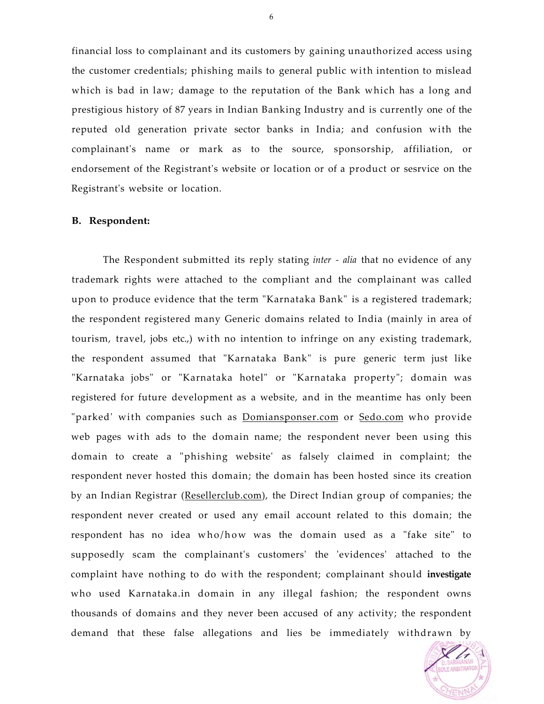financial loss to complainant and its customers by gaining unauthorized access using the customer credentials; phishing mails to general public with intention to mislead which is bad in law; damage to the reputation of the Bank which has a long and prestigious history of 87 years in Indian Banking Industry and is currently one of the reputed old generation private sector banks in India; and confusion with the complainant's name or mark as to the source, sponsorship, affiliation, or endorsement of the Registrant's website or location or of a product or sesrvice on the Registrant's website or location.

#### **B. Respondent:**

The Respondent submitted its reply stating *inter - alia* that no evidence of any trademark rights were attached to the compliant and the complainant was called upon to produce evidence that the term "Karnataka Bank" is a registered trademark; the respondent registered many Generic domains related to India (mainly in area of tourism, travel, jobs etc.,) with no intention to infringe on any existing trademark, the respondent assumed that "Karnataka Bank" is pure generic term just like "Karnataka jobs" or "Karnataka hotel" or "Karnataka property"; domain was registered for future development as a website, and in the meantime has only been "parked' with companies such as [Domiansponser.com](http://Domiansponser.com) or [Sedo.com w](http://Sedo.com)ho provide web pages with ads to the domain name; the respondent never been using this domain to create a "phishing website' as falsely claimed in complaint; the respondent never hosted this domain; the domain has been hosted since its creation by an Indian Registrar ([Resellerclub.com\)](http://Resellerclub.com), the Direct Indian group of companies; the respondent never created or used any email account related to this domain; the respondent has no idea who/how was the domain used as a "fake site" to supposedly scam the complainant's customers' the 'evidences' attached to the complaint have nothing to do with the respondent; complainant should **investigate**  who used Karnataka.in domain in any illegal fashion; the respondent owns thousands of domains and they never been accused of any activity; the respondent demand that these false allegations and lies be immediately withdrawn by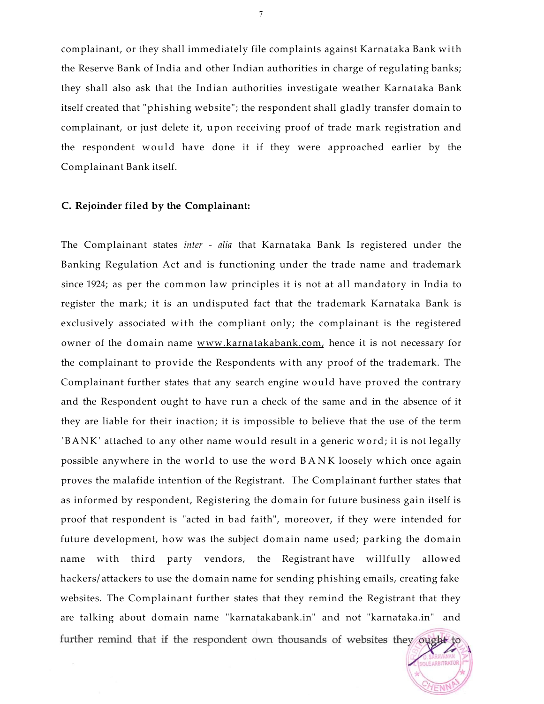complainant, or they shall immediately file complaints against Karnataka Bank with the Reserve Bank of India and other Indian authorities in charge of regulating banks; they shall also ask that the Indian authorities investigate weather Karnataka Bank itself created that "phishing website"; the respondent shall gladly transfer domain to complainant, or just delete it, upon receiving proof of trade mark registration and the respondent would have done it if they were approached earlier by the Complainant Bank itself.

### **C. Rejoinder filed by the Complainant:**

The Complainant states *inter - alia* that Karnataka Bank Is registered under the Banking Regulation Act and is functioning under the trade name and trademark since 1924; as per the common law principles it is not at all mandatory in India to register the mark; it is an undisputed fact that the trademark Karnataka Bank is exclusively associated with the compliant only; the complainant is the registered owner of the domain name [www.karnatakabank.com,](http://www.karnatakabank.com) hence it is not necessary for the complainant to provide the Respondents with any proof of the trademark. The Complainant further states that any search engine would have proved the contrary and the Respondent ought to have run a check of the same and in the absence of it they are liable for their inaction; it is impossible to believe that the use of the term 'BANK' attached to any other name would result in a generic word; it is not legally possible anywhere in the world to use the word BAN K loosely which once again proves the malafide intention of the Registrant. The Complainant further states that as informed by respondent, Registering the domain for future business gain itself is proof that respondent is "acted in bad faith", moreover, if they were intended for future development, how was the subject domain name used; parking the domain name with third party vendors, the Registrant have willfully allowed hackers/ attackers to use the domain name for sending phishing emails, creating fake websites. The Complainant further states that they remind the Registrant that they are talking about domain name "karnatakabank.in" and not "karnataka.in" and further remind that if the respondent own thousands of websites they ought to

**OLE ARBITRATOR**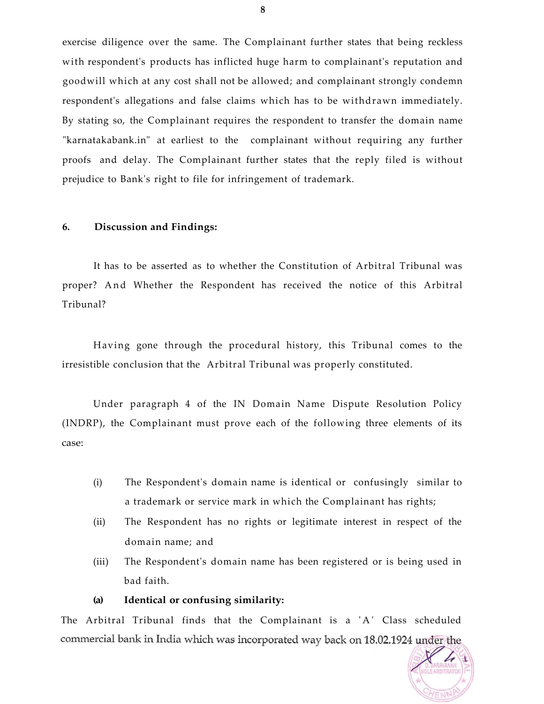exercise diligence over the same. The Complainant further states that being reckless with respondent's products has inflicted huge harm to complainant's reputation and goodwill which at any cost shall not be allowed; and complainant strongly condemn respondent's allegations and false claims which has to be withdrawn immediately. By stating so, the Complainant requires the respondent to transfer the domain name "karnatakabank.in" at earliest to the complainant without requiring any further proofs and delay. The Complainant further states that the reply filed is without prejudice to Bank's right to file for infringement of trademark.

#### **6. Discussion and Findings:**

It has to be asserted as to whether the Constitution of Arbitral Tribunal was proper? And Whether the Respondent has received the notice of this Arbitral Tribunal?

Having gone through the procedural history, this Tribunal comes to the irresistible conclusion that the Arbitral Tribunal was properly constituted.

Under paragraph 4 of the IN Domain Name Dispute Resolution Policy (INDRP), the Complainant must prove each of the following three elements of its case:

- (i) The Respondent's domain name is identical or confusingly similar to a trademark or service mark in which the Complainant has rights;
- (ii) The Respondent has no rights or legitimate interest in respect of the domain name; and
- (iii) The Respondent's domain name has been registered or is being used in bad faith.

#### **(a) Identical or confusing similarity:**

The Arbitral Tribunal finds that the Complainant is a 'A' Class scheduled commercial bank in India which was incorporated way back on 18.02.1924 under the

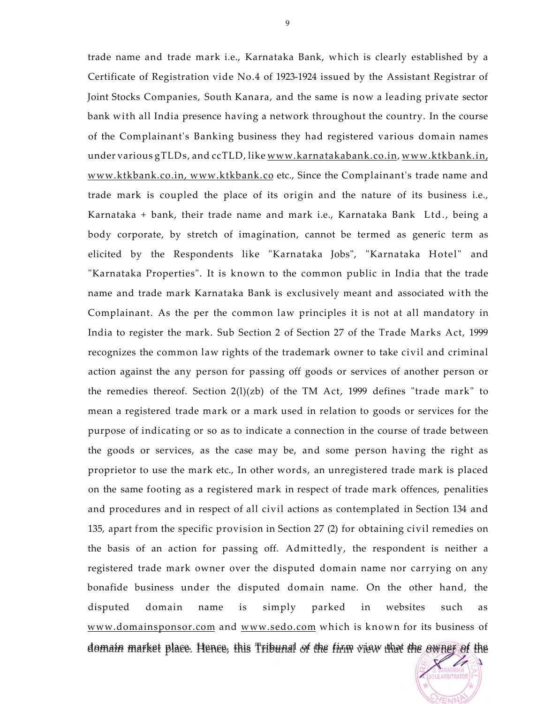trade name and trade mark i.e., Karnataka Bank, which is clearly established by a Certificate of Registration vide No.4 of 1923-1924 issued by the Assistant Registrar of Joint Stocks Companies, South Kanara, and the same is now a leading private sector of the Complainant's Banking business they had registered various domain names under various gTLDs, and ccTLD, like [www.karnatakabank.co.in,](http://www.karnatakabank.co.in) [www.ktkbank.in,](http://www.ktkbank.in) [www.ktkbank.co.in,](http://www.ktkbank.co.in) [www.ktkbank.co e](http://www.ktkbank.co)tc., Since the Complainant's trade name and trade mark is coupled the place of its origin and the nature of its business i.e., Karnataka + bank, their trade name and mark i.e., Karnataka Bank Ltd., being a body corporate, by stretch of imagination, cannot be termed as generic term as elicited by the Respondents like "Karnataka Jobs", "Karnataka Hotel" and "Karnataka Properties". It is known to the common public in India that the trade name and trade mark Karnataka Bank is exclusively meant and associated with the Complainant. As the per the common law principles it is not at all mandatory in India to register the mark. Sub Section 2 of Section 27 of the Trade Marks Act, 1999 recognizes the common law rights of the trademark owner to take civil and criminal action against the any person for passing off goods or services of another person or the remedies thereof. Section 2(l)(zb) of the TM Act, 1999 defines "trade mark" to mean a registered trade mark or a mark used in relation to goods or services for the purpose of indicating or so as to indicate a connection in the course of trade between the goods or services, as the case may be, and some person having the right as proprietor to use the mark etc., In other words, an unregistered trade mark is placed on the same footing as a registered mark in respect of trade mark offences, penalities and procedures and in respect of all civil actions as contemplated in Section 134 and 135, apart from the specific provision in Section 27 (2) for obtaining civil remedies on the basis of an action for passing off. Admittedly, the respondent is neither a registered trade mark owner over the disputed domain name nor carrying on any bonafide business under the disputed domain name. On the other hand, the disputed domain name is simply parked in websites such as [www.domainsponsor.com a](http://www.domainsponsor.com)nd [www.sedo.com w](http://www.sedo.com)hich is known for its business of domain market place. Hence, this Tribunal of the firm view that the owner of the bank with all India presence having a network throughout the country. In the course

**DI FARRITRATOR**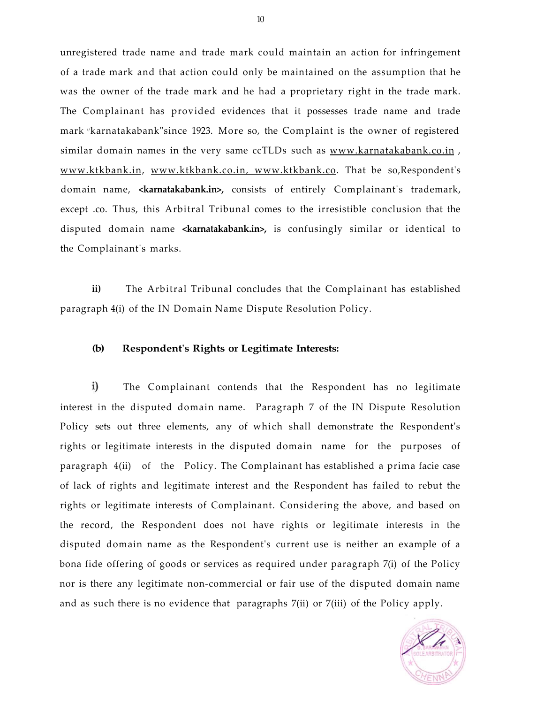unregistered trade name and trade mark could maintain an action for infringement of a trade mark and that action could only be maintained on the assumption that he was the owner of the trade mark and he had a proprietary right in the trade mark. The Complainant has provided evidences that it possesses trade name and trade mark //karnatakabank"since 1923. More so, the Complaint is the owner of registered similar domain names in the very same ccTLDs such as www.karnatakabank.co.in, [www.ktkbank.in,](http://www.ktkbank.in) [www.ktkbank.co.in,](http://www.ktkbank.co.in) [www.ktkbank.co.](http://www.ktkbank.co) That be so,Respondent's domain name, **<karnatakabank.in>,** consists of entirely Complainant's trademark, except .co. Thus, this Arbitral Tribunal comes to the irresistible conclusion that the disputed domain name **<karnatakabank.in>,** is confusingly similar or identical to the Complainant's marks.

**ii)** The Arbitral Tribunal concludes that the Complainant has established paragraph 4(i) of the IN Domain Name Dispute Resolution Policy.

### **(b) Respondent's Rights or Legitimate Interests:**

 $\mathbf{i}$ The Complainant contends that the Respondent has no legitimate interest in the disputed domain name. Paragraph 7 of the IN Dispute Resolution Policy sets out three elements, any of which shall demonstrate the Respondent's rights or legitimate interests in the disputed domain name for the purposes of paragraph 4(ii) of the Policy. The Complainant has established a prima facie case of lack of rights and legitimate interest and the Respondent has failed to rebut the rights or legitimate interests of Complainant. Considering the above, and based on the record, the Respondent does not have rights or legitimate interests in the disputed domain name as the Respondent's current use is neither an example of a bona fide offering of goods or services as required under paragraph 7(i) of the Policy nor is there any legitimate non-commercial or fair use of the disputed domain name and as such there is no evidence that paragraphs 7(ii) or 7(iii) of the Policy apply.

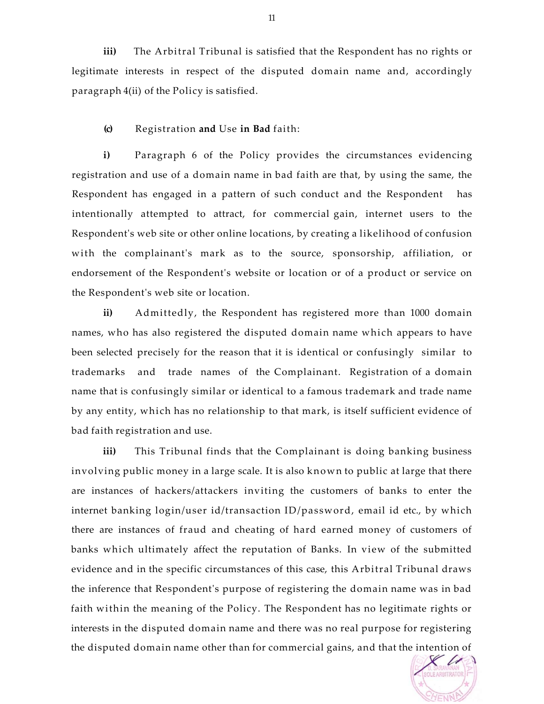**iii)** The Arbitral Tribunal is satisfied that the Respondent has no rights or legitimate interests in respect of the disputed domain name and, accordingly paragraph 4(ii) of the Policy is satisfied.

### **(c)** Registration **and** Use **in Bad** faith:

**i)** Paragraph 6 of the Policy provides the circumstances evidencing registration and use of a domain name in bad faith are that, by using the same, the Respondent has engaged in a pattern of such conduct and the Respondent has intentionally attempted to attract, for commercial gain, internet users to the Respondent's web site or other online locations, by creating a likelihood of confusion with the complainant's mark as to the source, sponsorship, affiliation, or endorsement of the Respondent's website or location or of a product or service on the Respondent's web site or location.

**ii)** Admittedly, the Respondent has registered more than 1000 domain names, who has also registered the disputed domain name which appears to have been selected precisely for the reason that it is identical or confusingly similar to trademarks and trade names of the Complainant. Registration of a domain name that is confusingly similar or identical to a famous trademark and trade name by any entity, which has no relationship to that mark, is itself sufficient evidence of bad faith registration and use.

**iii)** This Tribunal finds that the Complainant is doing banking business involving public money in a large scale. It is also known to public at large that there are instances of hackers/attackers inviting the customers of banks to enter the internet banking login/user id/transaction ID/password, email id etc., by which there are instances of fraud and cheating of hard earned money of customers of banks which ultimately affect the reputation of Banks. In view of the submitted evidence and in the specific circumstances of this case, this Arbitral Tribunal draws the inference that Respondent's purpose of registering the domain name was in bad faith within the meaning of the Policy. The Respondent has no legitimate rights or interests in the disputed domain name and there was no real purpose for registering the disputed domain name other than for commercial gains, and that the intention of